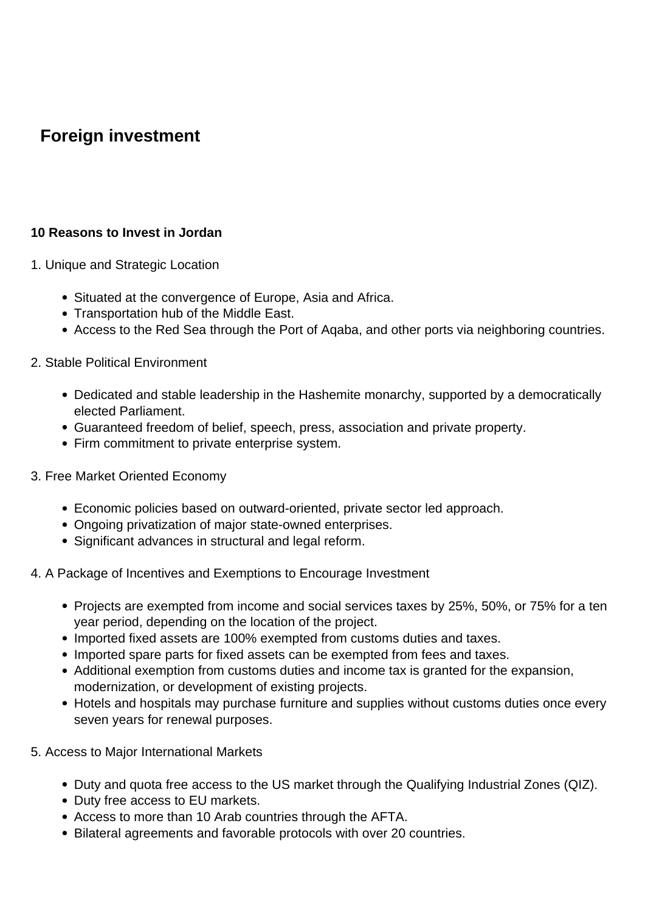# **Foreign investment**

# **10 Reasons to Invest in Jordan**

- 1. Unique and Strategic Location
	- Situated at the convergence of Europe, Asia and Africa.
	- Transportation hub of the Middle East.
	- Access to the Red Sea through the Port of Aqaba, and other ports via neighboring countries.

#### 2. Stable Political Environment

- Dedicated and stable leadership in the Hashemite monarchy, supported by a democratically elected Parliament.
- Guaranteed freedom of belief, speech, press, association and private property.
- Firm commitment to private enterprise system.

#### 3. Free Market Oriented Economy

- Economic policies based on outward-oriented, private sector led approach.
- Ongoing privatization of major state-owned enterprises.
- Significant advances in structural and legal reform.

## 4. A Package of Incentives and Exemptions to Encourage Investment

- Projects are exempted from income and social services taxes by 25%, 50%, or 75% for a ten year period, depending on the location of the project.
- Imported fixed assets are 100% exempted from customs duties and taxes.
- Imported spare parts for fixed assets can be exempted from fees and taxes.
- Additional exemption from customs duties and income tax is granted for the expansion, modernization, or development of existing projects.
- Hotels and hospitals may purchase furniture and supplies without customs duties once every seven years for renewal purposes.
- 5. Access to Major International Markets
	- Duty and quota free access to the US market through the Qualifying Industrial Zones (QIZ).
	- Duty free access to EU markets.
	- Access to more than 10 Arab countries through the AFTA.
	- Bilateral agreements and favorable protocols with over 20 countries.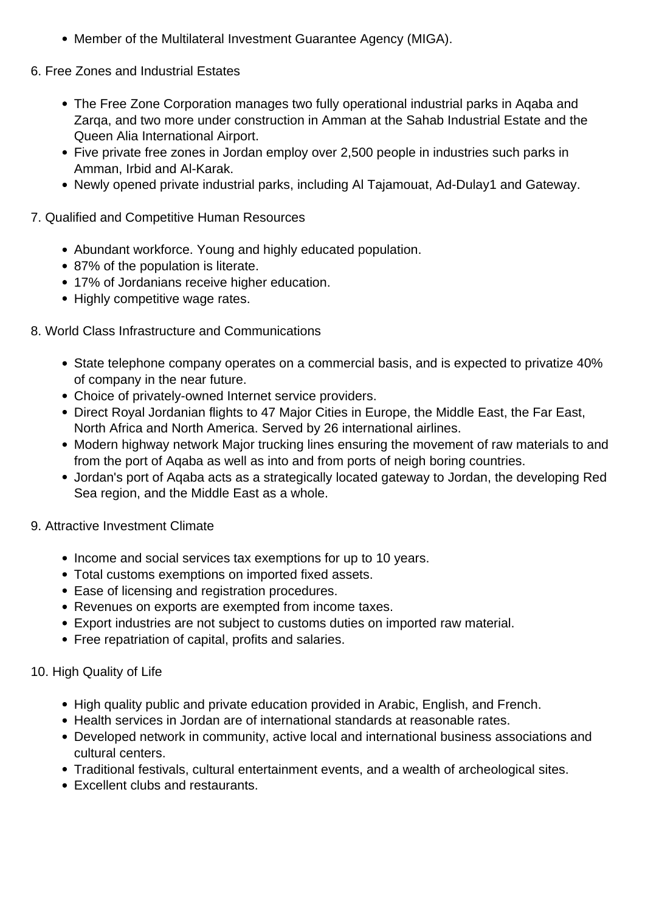- Member of the Multilateral Investment Guarantee Agency (MIGA).
- 6. Free Zones and Industrial Estates
	- The Free Zone Corporation manages two fully operational industrial parks in Aqaba and Zarqa, and two more under construction in Amman at the Sahab Industrial Estate and the Queen Alia International Airport.
	- Five private free zones in Jordan employ over 2,500 people in industries such parks in Amman, Irbid and Al-Karak.
	- Newly opened private industrial parks, including Al Tajamouat, Ad-Dulay1 and Gateway.
- 7. Qualified and Competitive Human Resources
	- Abundant workforce. Young and highly educated population.
	- 87% of the population is literate.
	- 17% of Jordanians receive higher education.
	- Highly competitive wage rates.

# 8. World Class Infrastructure and Communications

- State telephone company operates on a commercial basis, and is expected to privatize 40% of company in the near future.
- Choice of privately-owned Internet service providers.
- Direct Royal Jordanian flights to 47 Major Cities in Europe, the Middle East, the Far East, North Africa and North America. Served by 26 international airlines.
- Modern highway network Major trucking lines ensuring the movement of raw materials to and from the port of Aqaba as well as into and from ports of neigh boring countries.
- Jordan's port of Aqaba acts as a strategically located gateway to Jordan, the developing Red Sea region, and the Middle East as a whole.
- 9. Attractive Investment Climate
	- Income and social services tax exemptions for up to 10 years.
	- Total customs exemptions on imported fixed assets.
	- Ease of licensing and registration procedures.
	- Revenues on exports are exempted from income taxes.
	- Export industries are not subject to customs duties on imported raw material.
	- Free repatriation of capital, profits and salaries.

## 10. High Quality of Life

- High quality public and private education provided in Arabic, English, and French.
- Health services in Jordan are of international standards at reasonable rates.
- Developed network in community, active local and international business associations and cultural centers.
- Traditional festivals, cultural entertainment events, and a wealth of archeological sites.
- Excellent clubs and restaurants.